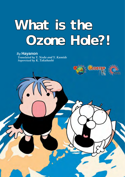# **What is the Ozone Hole?! Hole?!**

#### *By* **Hayanon**

*Translated by Y. Noda and Y. Kamide Supervised by K. Takahashi*

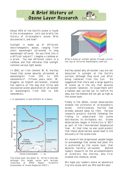#### **O<sup>3</sup>** A Brief History of Ozone Layer Research

About 90% of the Earth's ozone is found in the stratosphere. Let's see briefly the history of stratospheric ozone: Who discovered it, and how?

Sunlight is made up of different electromagnetic waves, ranging from short wavelength ultraviolet to long wavelength infrared. Do you think this is a difficult subject? Imagine a rainbow or a prism. You see different colors in a rainbow, and that indicates that sunlight contains various light waves.

In 1881, an Irish chemist W. N. Hartley found that ozone absorbs ultraviolet at wavelengths from 200 to 300 nanometers\*. Fifteen years later, W. Huggins, an English astronomer, studied the spectra of the dog star Sirius and discovered ozone absorption of ultraviolet at wavelengths from 300 to 340 nanometers.

 A nanometer is one billionth of a meter.



The ozone layer lies about 15 - 40 km in altitude, although this height varies with latitude.<br><Courtesy of WMO Report "Scientific <Courtesy of WMO Report



When a beam of sunlight passes through a prism, the rays of different wavelengths come out.

Hartley asked why ultraviolet rays are not detected in sunlight at the Earth's surface, although they exist just after being radiated from the Sun. He suggested that there was a large quantity of ozone up in the sky that absorbs ultraviolet radiation. An experiment with a balloon was carried out to confirm his idea, but the balloon did not get as high as the ozone layer.

Finally in the 1940s, rocket observations showed the existence of stratospheric ozone. Unfortunately, Hartley had already passed away by then. Various research projects started following the finding to understand the ozone distribution, its birthplace, etc. Ozone observations began in Antarctica in 1957 as part of the International Geophysical Year. At that time, no one could predict that these observations would lead to the discovery of the ozone hole.

As research has progressed, people began to acknowledge that animal and plant life is protected by the ozone layer that absorbs harmful ultraviolet. Behind today's research lie the accomplishments of scientists like Hartley, who first studied the chemical, ozone.

We hope you readers share an adventure trip into ozone with our Mol and Mirubo!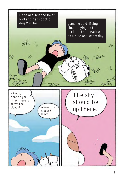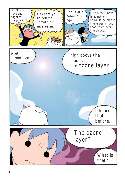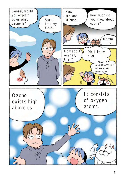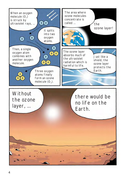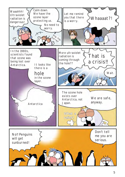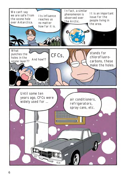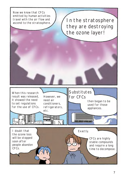Now we know that CFCs emitted by human activities travel with the air flow and

travel with the air flow and<br>ascend to the stratosphere.  $\bigcup$  / In the stratosphere they are destroying the ozone layer!

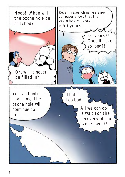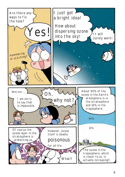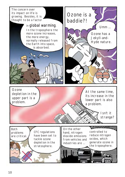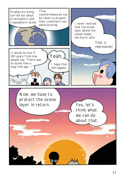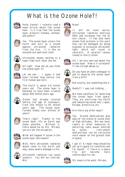## What is the Ozone Hole?!



Hello, Sensei! I recently read a news article about the ozone hole. Is it true that the ozone layer protects humans, animals, and plants?



Yes. The ozone layer covers the Earth and acts as a shield against ultraviolet radiation from the Sun. It is like an invisible but well-built shell.



Ultraviolet means nothing to a super high tech robot like me.



All right. How old do you think the ozone layer is?



Let me see ... I guess it had been formed long before the first human was born.



The Earth is about 4.6 billion years old. The ozone layer is believed to have been created about 400 million years ago.



Ozone had already existed before the age of dinosaurs, from 250 million to 65 million years ago. The ozone layer formed slowly over billions of years!



That's right! Thanks to the ozone layer, life on Earth was made possible. Without it, there would be no life. Mirubo, you are not the exception.



What will happen if ozone in the ozone layer decreases?



Well, more ultraviolet radiation would come to the Earth and may cause severe damage to life.



Ultraviolet radiation can cause sunburn. You will be charred, Mol.



#### Nooo!

It will be even worse. Ultraviolet radiation destroys DNA and increases the risk of skin cancer. It has also been shown that proteins in the eyes lens can be damaged by being exposed to excessive ultraviolet light, which will result in cataracts. A cataract causes cloudy or blurry vision.



Oh, I am very worried about the ozone layer. How is it surveyed? It lies so high above us.



Do you have an alien colleague to ask to observe the ozone layer from a UFO?



Not exactly, but something like it.



Really?? I was just kidding ...

We have satellites for observing the ozone layer from space. They are encircling the Earth and measuring ozone over Japan, Europe, Antarctica, etc.



Are there any other ways?

Yes. Ground observations give data of the status of ozone even at high altitudes. We use laser radars or other measures of detecting radio waves emitted by ozone. Instrument malfunctions can be corrected much easier on the ground than in space.



I got it! A repair shop should be set up in space for satellites and for myself. If there is, a space trip will become more comfortable for me.



Oh, keep to the point, Mirubo.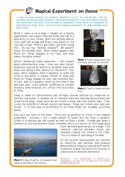

### ᴾᴾᴾᴾᴾᴾᵫᵿᶅᶇᶁᵿᶊᴾᵣᶖᶎᶃᶐᶇᶋᶃᶌᶒᴾᶍᶌᴾᵭᶘᶍᶌᶃ

I hope you have enjoyed the scientific adventure trip of Mol and Mirubo. We are currently facing two ozone problems. One is ozone depletion in the stratosphere causing the ozone hole. The other is an increase in tropospheric ozone, which is a component of photochemical smog. Now, I will show you a magical experiment for understanding more about ozone.

What I need is an orange I bought at a nearby supermarket and a glass flask like those you find in a laboratory of your school. Both are nothing special. First, peel the orange and drop a few pieces of the rind into a flask. Photo 1 was taken just after doing this. Do you say "nothing changes"? Be patient! About 30 seconds later, white smoke appears (see Photo 2)!! What happens in the flask, and what makes the white smoke?

Before answering these questions, I will explain about photochemical smog. Have you seen distant mountains covered by whitish or brownish haze that stops you taking scenic photos for souvenirs? This haze, which happens more frequently in some big cities in the world, is closely related to smog (see Photo 3). Smog changes its color and thickness hour to hour, and its frequency varies by the time of day and even year. Such weather conditions as sunlight intensity, wind direction, etc. affect the occurrence of smog.



**Photo 1** Drop orange peels into the flask, and wait 30 seconds.



**Photo 2** There is smoke without fire!

Smog is made of hydrocarbons and nitrogen dioxide emitted by industries or vehicles, and ozone. A complex set of chemical reactions involving hydrocarbons and ozone forms smog. Small particles are found in smog, and they scatter light. That is why the visibility of distant objects decreases. Smog can irritate your eyes and throat. It is also said to be harmful to all living things, for example, scorching leaves.

Now, let's get back to the point. There are no gimmicks or tricks in the magical experiment. Actually, I put a small amount of ozone into the flask in advance. Ozone is a colorless gas and cannot be seen as Photo 1 shows. Orange peel gives a chemical of the hydrocarbon family, limonene, which is a source of the invigorating



**Photo 3** Smog in Seattle. A brownish haze hangs around above the horizon.

scent we smell when we eat an orange. The chemical reaction between ozone and limonene created the smoke in the flask. This is a model of how smog is formed!

On the ground, hydrocarbons are emitted by industries and vehicles, and produce photochemical smog by reacting with ozone. Scientists around the world are working to understand its detailed mechanism.

WARNING: THIS EXPERIMENT IS POTENTIALLY DANGEROUS. DO NOT TRY TO PRACTICE IT WITHOUT PROPER SUPERVI SION!